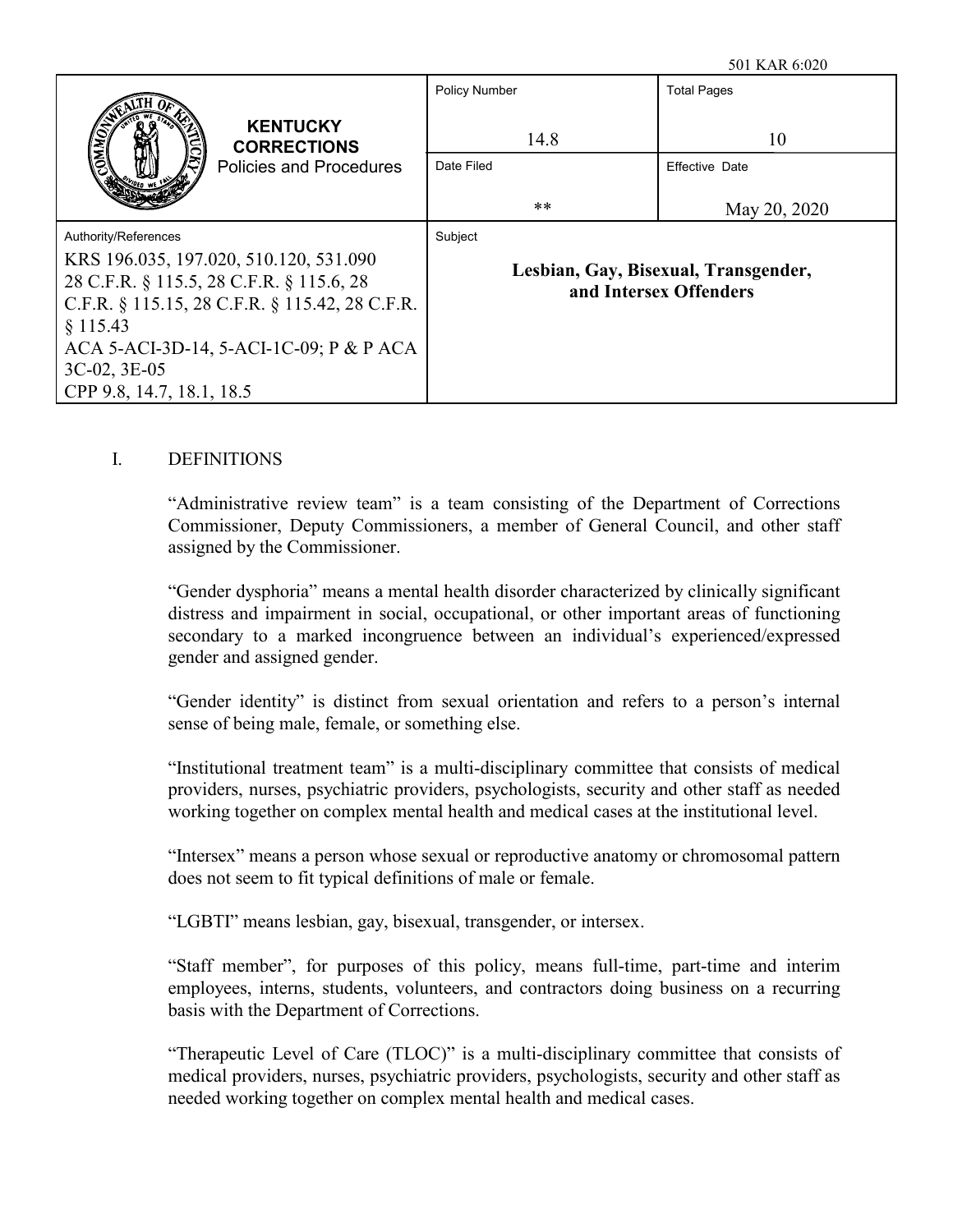|                                                                                                                                      | <b>Policy Number</b>                                           | <b>Total Pages</b>    |
|--------------------------------------------------------------------------------------------------------------------------------------|----------------------------------------------------------------|-----------------------|
| <b>KENTUCKY</b><br><b>CORRECTIONS</b>                                                                                                | 14.8                                                           | 10                    |
| <b>Policies and Procedures</b>                                                                                                       | Date Filed                                                     | <b>Effective Date</b> |
|                                                                                                                                      | **                                                             | May 20, 2020          |
| Authority/References                                                                                                                 | Subject                                                        |                       |
| KRS 196.035, 197.020, 510.120, 531.090<br>28 C.F.R. § 115.5, 28 C.F.R. § 115.6, 28<br>C.F.R. § 115.15, 28 C.F.R. § 115.42, 28 C.F.R. | Lesbian, Gay, Bisexual, Transgender,<br>and Intersex Offenders |                       |
| § 115.43<br>ACA 5-ACI-3D-14, 5-ACI-1C-09; P & P ACA<br>$3C-02$ , $3E-05$<br>CPP 9.8, 14.7, 18.1, 18.5                                |                                                                |                       |

## I. DEFINITIONS

"Administrative review team" is a team consisting of the Department of Corrections Commissioner, Deputy Commissioners, a member of General Council, and other staff assigned by the Commissioner.

"Gender dysphoria" means a mental health disorder characterized by clinically significant distress and impairment in social, occupational, or other important areas of functioning secondary to a marked incongruence between an individual's experienced/expressed gender and assigned gender.

"Gender identity" is distinct from sexual orientation and refers to a person's internal sense of being male, female, or something else.

"Institutional treatment team" is a multi-disciplinary committee that consists of medical providers, nurses, psychiatric providers, psychologists, security and other staff as needed working together on complex mental health and medical cases at the institutional level.

"Intersex" means a person whose sexual or reproductive anatomy or chromosomal pattern does not seem to fit typical definitions of male or female.

"LGBTI" means lesbian, gay, bisexual, transgender, or intersex.

"Staff member", for purposes of this policy, means full-time, part-time and interim employees, interns, students, volunteers, and contractors doing business on a recurring basis with the Department of Corrections.

"Therapeutic Level of Care (TLOC)" is a multi-disciplinary committee that consists of medical providers, nurses, psychiatric providers, psychologists, security and other staff as needed working together on complex mental health and medical cases.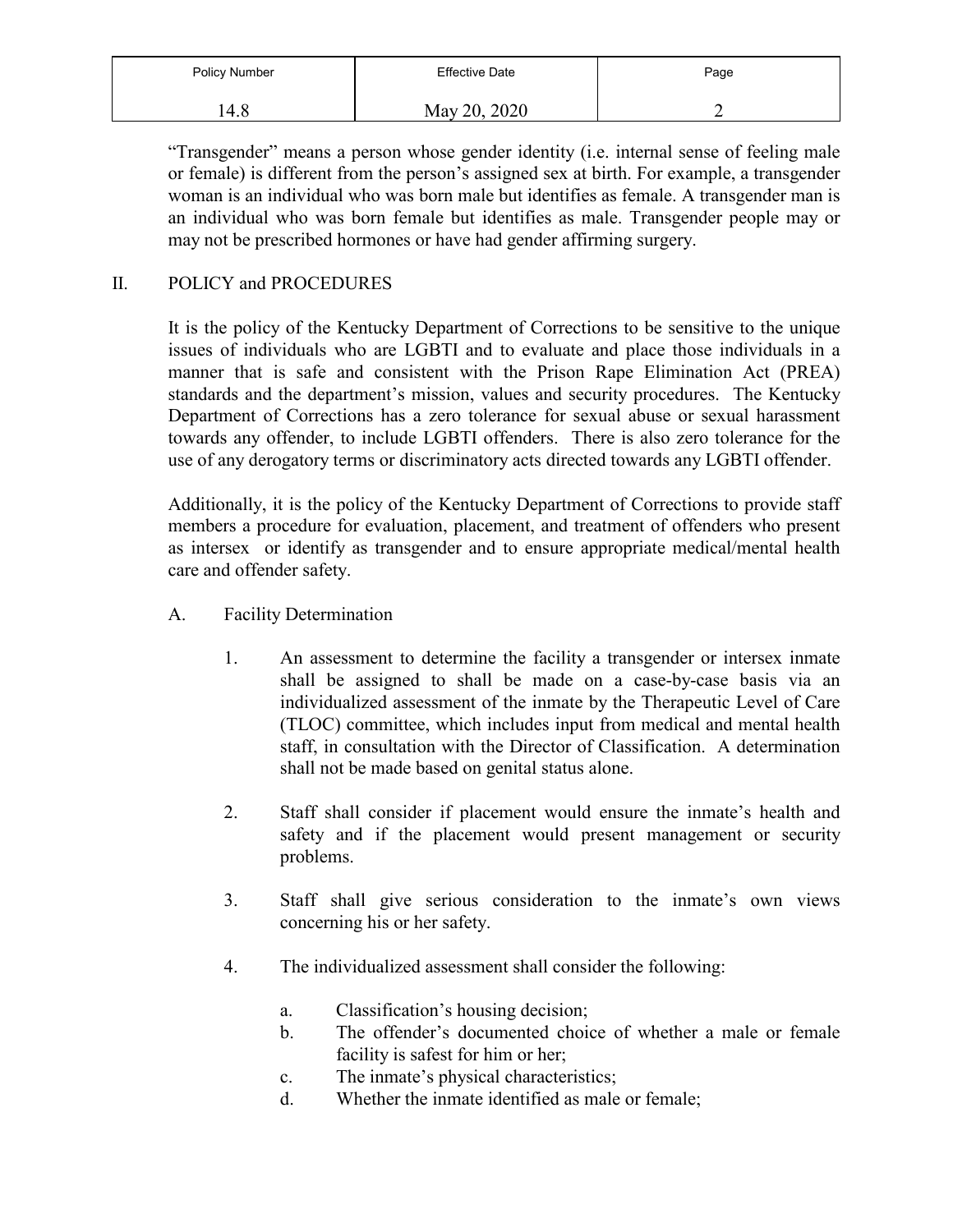| Policy Number | <b>Effective Date</b> | Page |
|---------------|-----------------------|------|
| 4.8           | May 20, 2020          |      |

"Transgender" means a person whose gender identity (i.e. internal sense of feeling male or female) is different from the person's assigned sex at birth. For example, a transgender woman is an individual who was born male but identifies as female. A transgender man is an individual who was born female but identifies as male. Transgender people may or may not be prescribed hormones or have had gender affirming surgery.

## II. POLICY and PROCEDURES

It is the policy of the Kentucky Department of Corrections to be sensitive to the unique issues of individuals who are LGBTI and to evaluate and place those individuals in a manner that is safe and consistent with the Prison Rape Elimination Act (PREA) standards and the department's mission, values and security procedures. The Kentucky Department of Corrections has a zero tolerance for sexual abuse or sexual harassment towards any offender, to include LGBTI offenders. There is also zero tolerance for the use of any derogatory terms or discriminatory acts directed towards any LGBTI offender.

Additionally, it is the policy of the Kentucky Department of Corrections to provide staff members a procedure for evaluation, placement, and treatment of offenders who present as intersex or identify as transgender and to ensure appropriate medical/mental health care and offender safety.

- A. Facility Determination
	- 1. An assessment to determine the facility a transgender or intersex inmate shall be assigned to shall be made on a case-by-case basis via an individualized assessment of the inmate by the Therapeutic Level of Care (TLOC) committee, which includes input from medical and mental health staff, in consultation with the Director of Classification. A determination shall not be made based on genital status alone.
	- 2. Staff shall consider if placement would ensure the inmate's health and safety and if the placement would present management or security problems.
	- 3. Staff shall give serious consideration to the inmate's own views concerning his or her safety.
	- 4. The individualized assessment shall consider the following:
		- a. Classification's housing decision;
		- b. The offender's documented choice of whether a male or female facility is safest for him or her;
		- c. The inmate's physical characteristics;
		- d. Whether the inmate identified as male or female;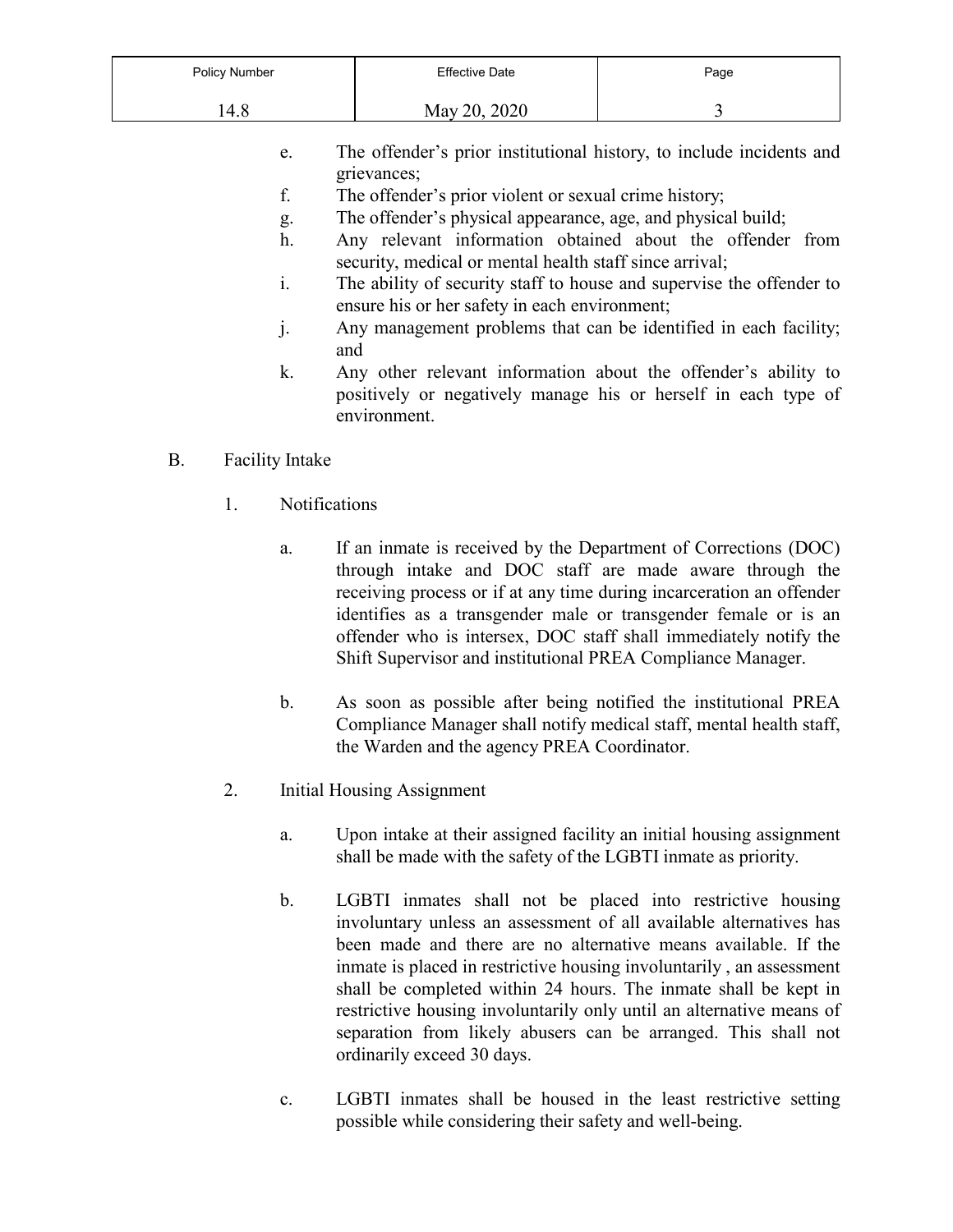| Policy Number | <b>Effective Date</b> | Page |
|---------------|-----------------------|------|
| 14.8          | May 20, 2020          |      |

- e. The offender's prior institutional history, to include incidents and grievances;
- f. The offender's prior violent or sexual crime history;
- g. The offender's physical appearance, age, and physical build;
- h. Any relevant information obtained about the offender from security, medical or mental health staff since arrival;
- i. The ability of security staff to house and supervise the offender to ensure his or her safety in each environment;
- j. Any management problems that can be identified in each facility; and
- k. Any other relevant information about the offender's ability to positively or negatively manage his or herself in each type of environment.

## B. Facility Intake

- 1. Notifications
	- a. If an inmate is received by the Department of Corrections (DOC) through intake and DOC staff are made aware through the receiving process or if at any time during incarceration an offender identifies as a transgender male or transgender female or is an offender who is intersex, DOC staff shall immediately notify the Shift Supervisor and institutional PREA Compliance Manager.
	- b. As soon as possible after being notified the institutional PREA Compliance Manager shall notify medical staff, mental health staff, the Warden and the agency PREA Coordinator.
- 2. Initial Housing Assignment
	- a. Upon intake at their assigned facility an initial housing assignment shall be made with the safety of the LGBTI inmate as priority.
	- b. LGBTI inmates shall not be placed into restrictive housing involuntary unless an assessment of all available alternatives has been made and there are no alternative means available. If the inmate is placed in restrictive housing involuntarily , an assessment shall be completed within 24 hours. The inmate shall be kept in restrictive housing involuntarily only until an alternative means of separation from likely abusers can be arranged. This shall not ordinarily exceed 30 days.
	- c. LGBTI inmates shall be housed in the least restrictive setting possible while considering their safety and well-being.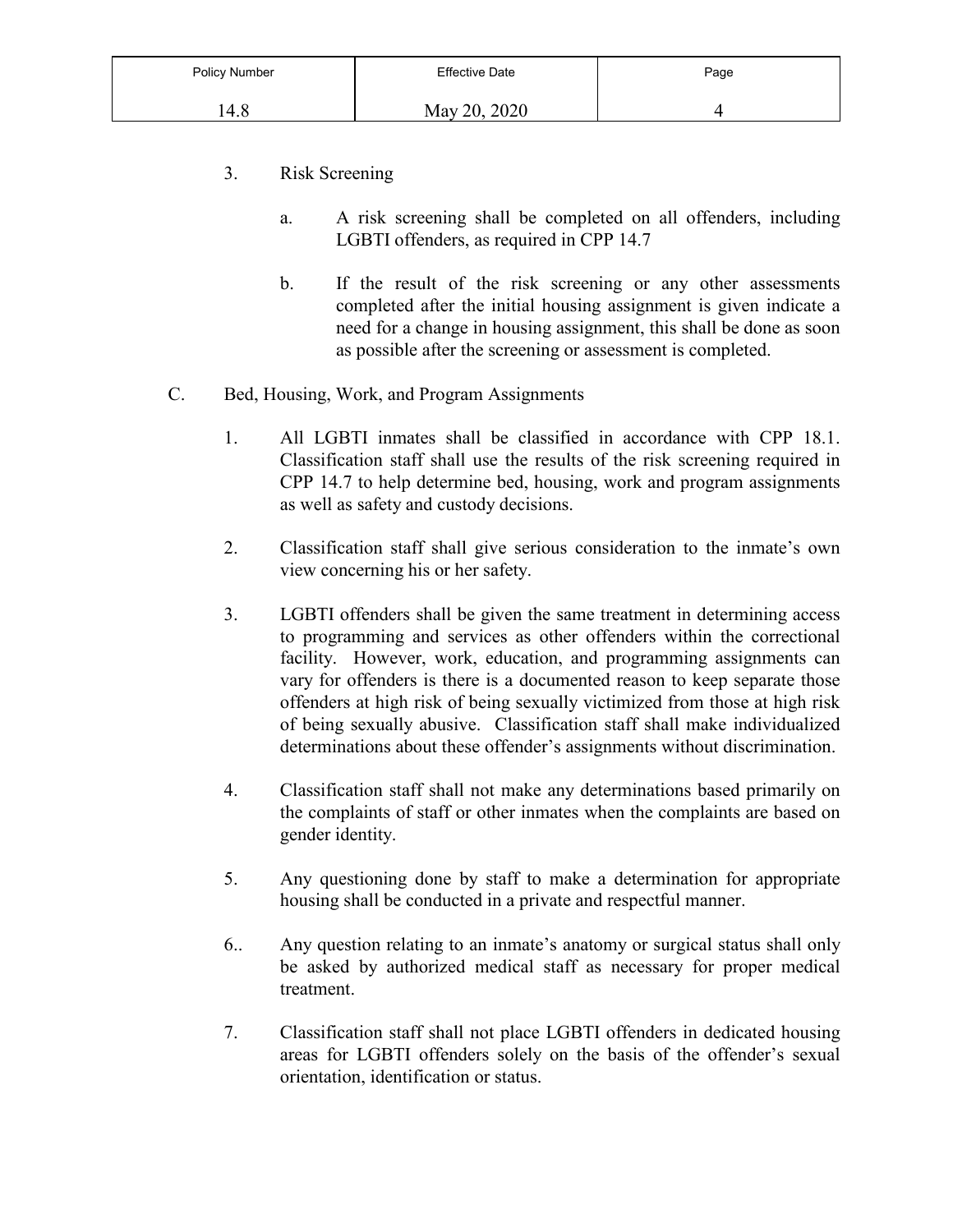| Policy Number | <b>Effective Date</b> | Page |
|---------------|-----------------------|------|
| 4.8           | May 20, 2020          |      |

- 3. Risk Screening
	- a. A risk screening shall be completed on all offenders, including LGBTI offenders, as required in CPP 14.7
	- b. If the result of the risk screening or any other assessments completed after the initial housing assignment is given indicate a need for a change in housing assignment, this shall be done as soon as possible after the screening or assessment is completed.
- C. Bed, Housing, Work, and Program Assignments
	- 1. All LGBTI inmates shall be classified in accordance with CPP 18.1. Classification staff shall use the results of the risk screening required in CPP 14.7 to help determine bed, housing, work and program assignments as well as safety and custody decisions.
	- 2. Classification staff shall give serious consideration to the inmate's own view concerning his or her safety.
	- 3. LGBTI offenders shall be given the same treatment in determining access to programming and services as other offenders within the correctional facility. However, work, education, and programming assignments can vary for offenders is there is a documented reason to keep separate those offenders at high risk of being sexually victimized from those at high risk of being sexually abusive. Classification staff shall make individualized determinations about these offender's assignments without discrimination.
	- 4. Classification staff shall not make any determinations based primarily on the complaints of staff or other inmates when the complaints are based on gender identity.
	- 5. Any questioning done by staff to make a determination for appropriate housing shall be conducted in a private and respectful manner.
	- 6.. Any question relating to an inmate's anatomy or surgical status shall only be asked by authorized medical staff as necessary for proper medical treatment.
	- 7. Classification staff shall not place LGBTI offenders in dedicated housing areas for LGBTI offenders solely on the basis of the offender's sexual orientation, identification or status.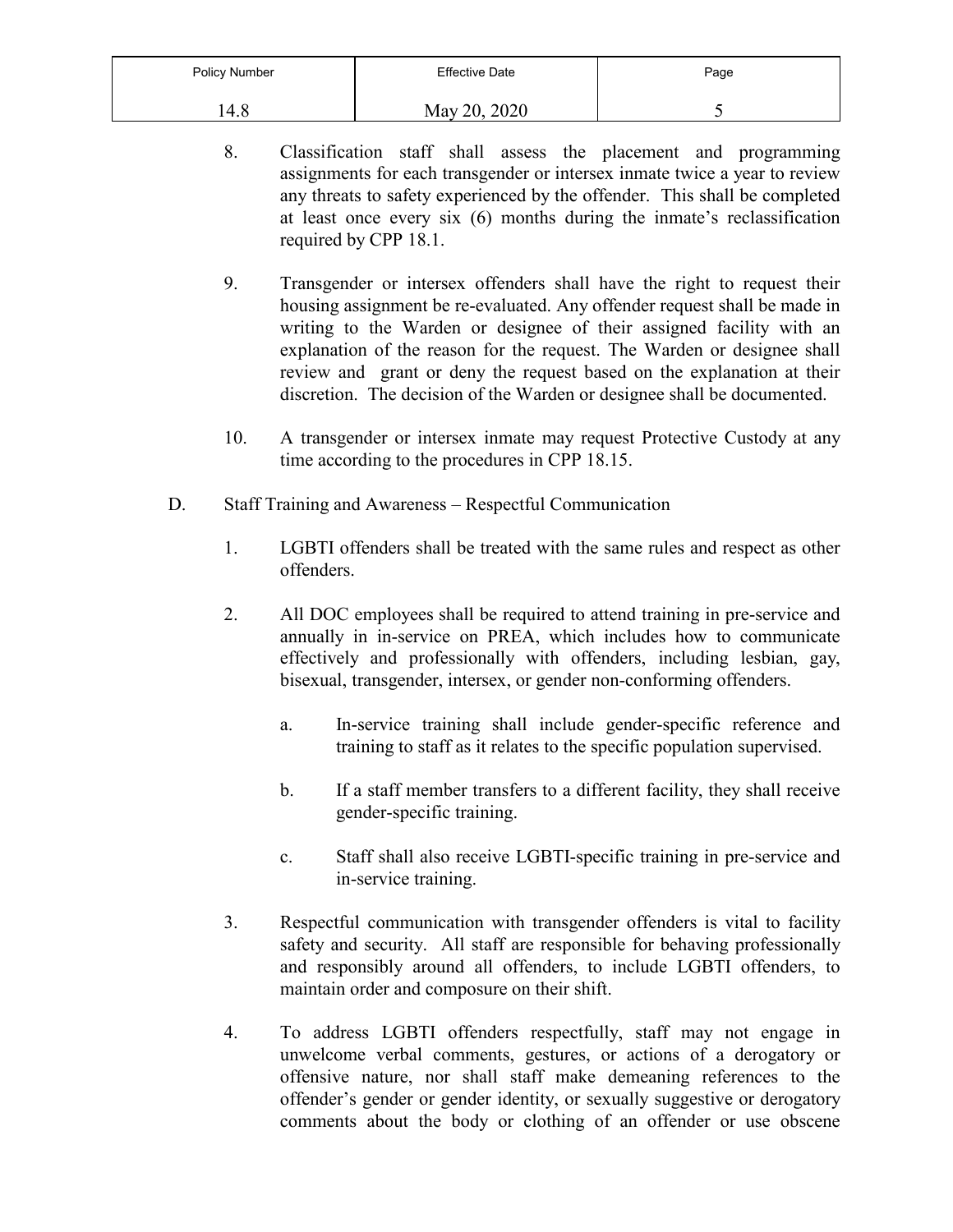| Policy Number | <b>Effective Date</b> | Page |
|---------------|-----------------------|------|
| 4.8           | May 20, 2020          |      |

- 8. Classification staff shall assess the placement and programming assignments for each transgender or intersex inmate twice a year to review any threats to safety experienced by the offender. This shall be completed at least once every six (6) months during the inmate's reclassification required by CPP 18.1.
- 9. Transgender or intersex offenders shall have the right to request their housing assignment be re-evaluated. Any offender request shall be made in writing to the Warden or designee of their assigned facility with an explanation of the reason for the request. The Warden or designee shall review and grant or deny the request based on the explanation at their discretion. The decision of the Warden or designee shall be documented.
- 10. A transgender or intersex inmate may request Protective Custody at any time according to the procedures in CPP 18.15.
- D. Staff Training and Awareness Respectful Communication
	- 1. LGBTI offenders shall be treated with the same rules and respect as other offenders.
	- 2. All DOC employees shall be required to attend training in pre-service and annually in in-service on PREA, which includes how to communicate effectively and professionally with offenders, including lesbian, gay, bisexual, transgender, intersex, or gender non-conforming offenders.
		- a. In-service training shall include gender-specific reference and training to staff as it relates to the specific population supervised.
		- b. If a staff member transfers to a different facility, they shall receive gender-specific training.
		- c. Staff shall also receive LGBTI-specific training in pre-service and in-service training.
	- 3. Respectful communication with transgender offenders is vital to facility safety and security. All staff are responsible for behaving professionally and responsibly around all offenders, to include LGBTI offenders, to maintain order and composure on their shift.
	- 4. To address LGBTI offenders respectfully, staff may not engage in unwelcome verbal comments, gestures, or actions of a derogatory or offensive nature, nor shall staff make demeaning references to the offender's gender or gender identity, or sexually suggestive or derogatory comments about the body or clothing of an offender or use obscene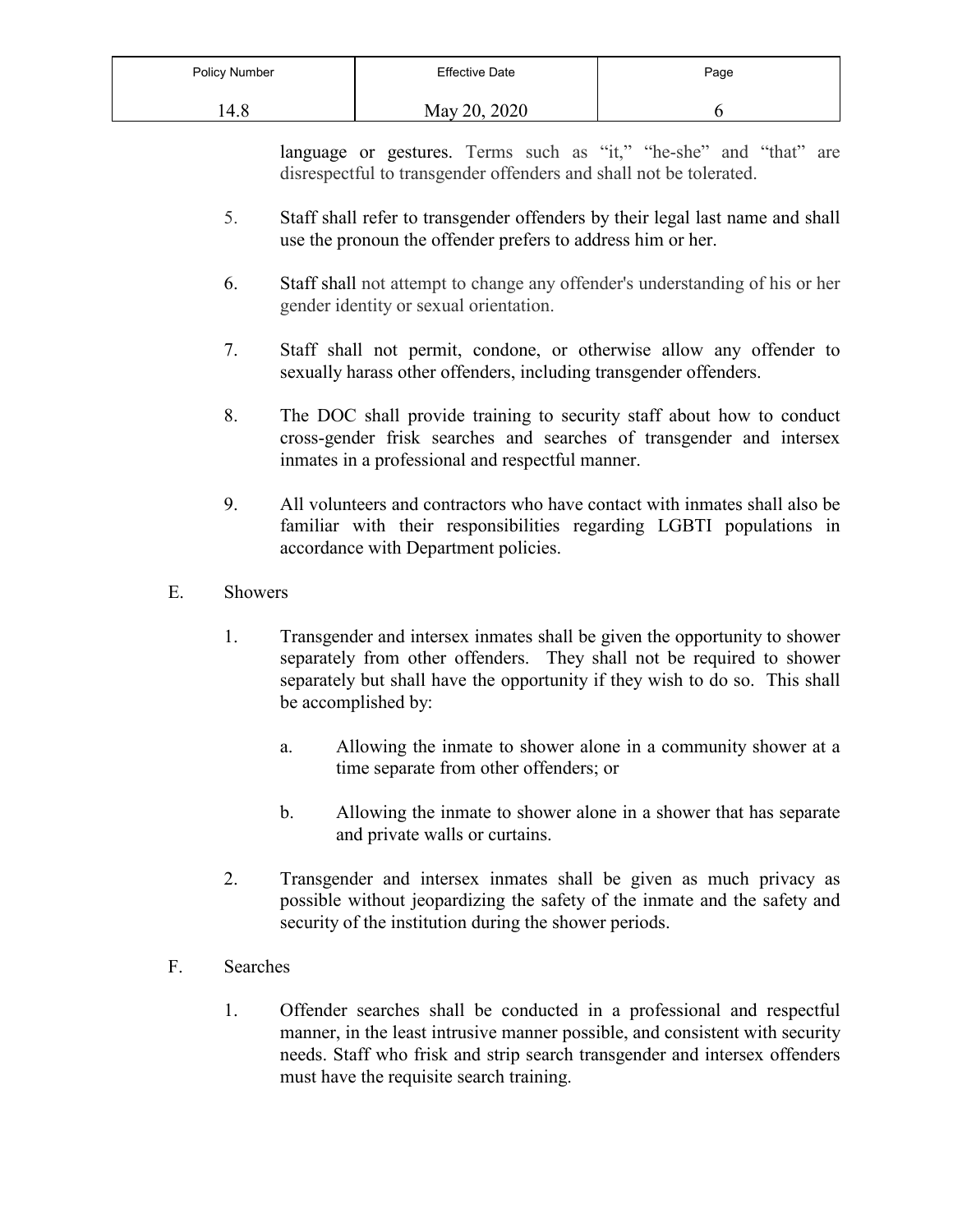| Policy Number | <b>Effective Date</b> | Page |
|---------------|-----------------------|------|
| l 4.8         | May 20, 2020          |      |

language or gestures. Terms such as "it," "he-she" and "that" are disrespectful to transgender offenders and shall not be tolerated.

- 5. Staff shall refer to transgender offenders by their legal last name and shall use the pronoun the offender prefers to address him or her.
- 6. Staff shall not attempt to change any offender's understanding of his or her gender identity or sexual orientation.
- 7. Staff shall not permit, condone, or otherwise allow any offender to sexually harass other offenders, including transgender offenders.
- 8. The DOC shall provide training to security staff about how to conduct cross-gender frisk searches and searches of transgender and intersex inmates in a professional and respectful manner.
- 9. All volunteers and contractors who have contact with inmates shall also be familiar with their responsibilities regarding LGBTI populations in accordance with Department policies.
- E. Showers
	- 1. Transgender and intersex inmates shall be given the opportunity to shower separately from other offenders. They shall not be required to shower separately but shall have the opportunity if they wish to do so. This shall be accomplished by:
		- a. Allowing the inmate to shower alone in a community shower at a time separate from other offenders; or
		- b. Allowing the inmate to shower alone in a shower that has separate and private walls or curtains.
	- 2. Transgender and intersex inmates shall be given as much privacy as possible without jeopardizing the safety of the inmate and the safety and security of the institution during the shower periods.
- F. Searches
	- 1. Offender searches shall be conducted in a professional and respectful manner, in the least intrusive manner possible, and consistent with security needs. Staff who frisk and strip search transgender and intersex offenders must have the requisite search training.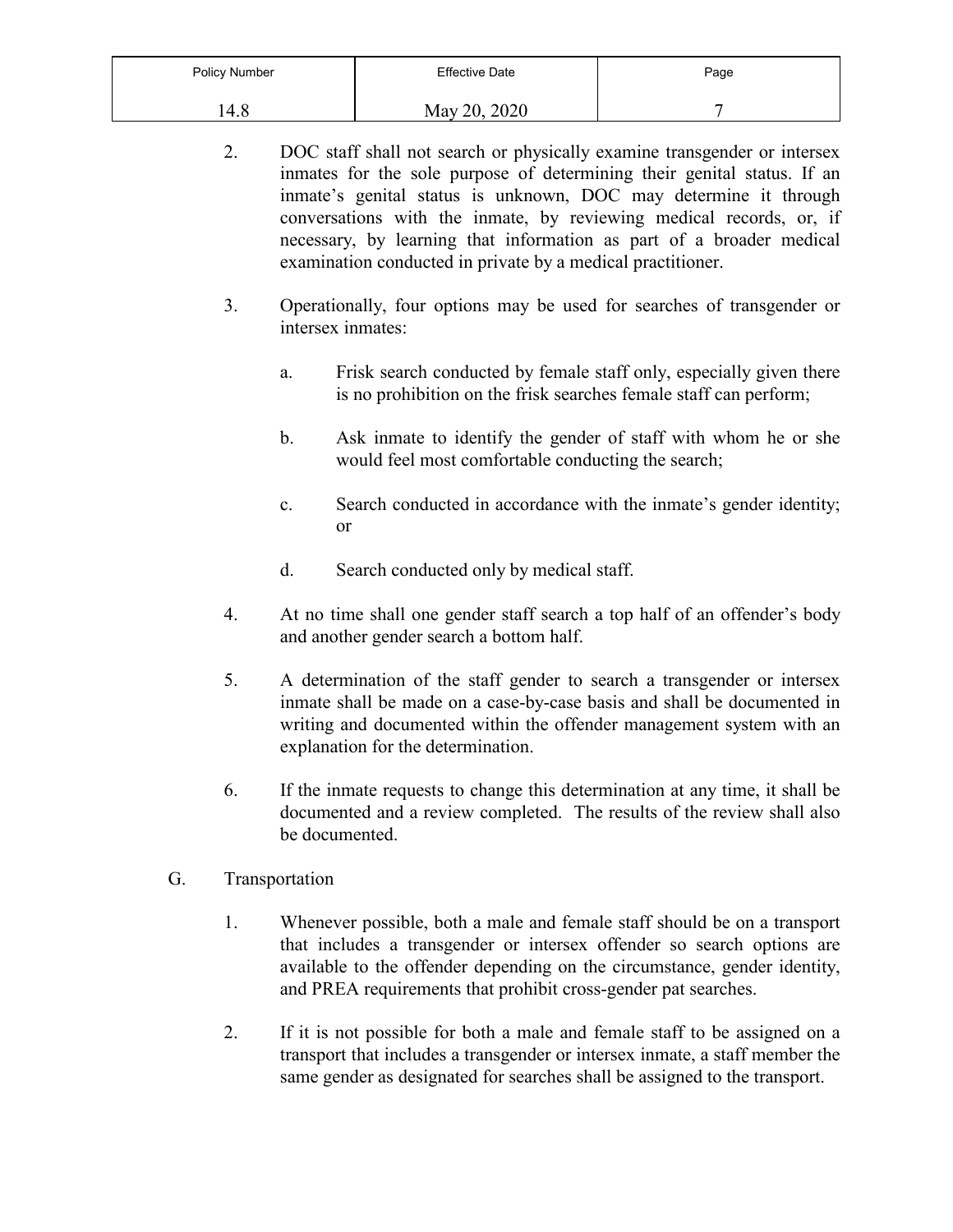| Policy Number | Effective Date | Page |
|---------------|----------------|------|
| 4.8           | May 20, 2020   | -    |

- 2. DOC staff shall not search or physically examine transgender or intersex inmates for the sole purpose of determining their genital status. If an inmate's genital status is unknown, DOC may determine it through conversations with the inmate, by reviewing medical records, or, if necessary, by learning that information as part of a broader medical examination conducted in private by a medical practitioner.
- 3. Operationally, four options may be used for searches of transgender or intersex inmates:
	- a. Frisk search conducted by female staff only, especially given there is no prohibition on the frisk searches female staff can perform;
	- b. Ask inmate to identify the gender of staff with whom he or she would feel most comfortable conducting the search;
	- c. Search conducted in accordance with the inmate's gender identity; or
	- d. Search conducted only by medical staff.
- 4. At no time shall one gender staff search a top half of an offender's body and another gender search a bottom half.
- 5. A determination of the staff gender to search a transgender or intersex inmate shall be made on a case-by-case basis and shall be documented in writing and documented within the offender management system with an explanation for the determination.
- 6. If the inmate requests to change this determination at any time, it shall be documented and a review completed. The results of the review shall also be documented.
- G. Transportation
	- 1. Whenever possible, both a male and female staff should be on a transport that includes a transgender or intersex offender so search options are available to the offender depending on the circumstance, gender identity, and PREA requirements that prohibit cross-gender pat searches.
	- 2. If it is not possible for both a male and female staff to be assigned on a transport that includes a transgender or intersex inmate, a staff member the same gender as designated for searches shall be assigned to the transport.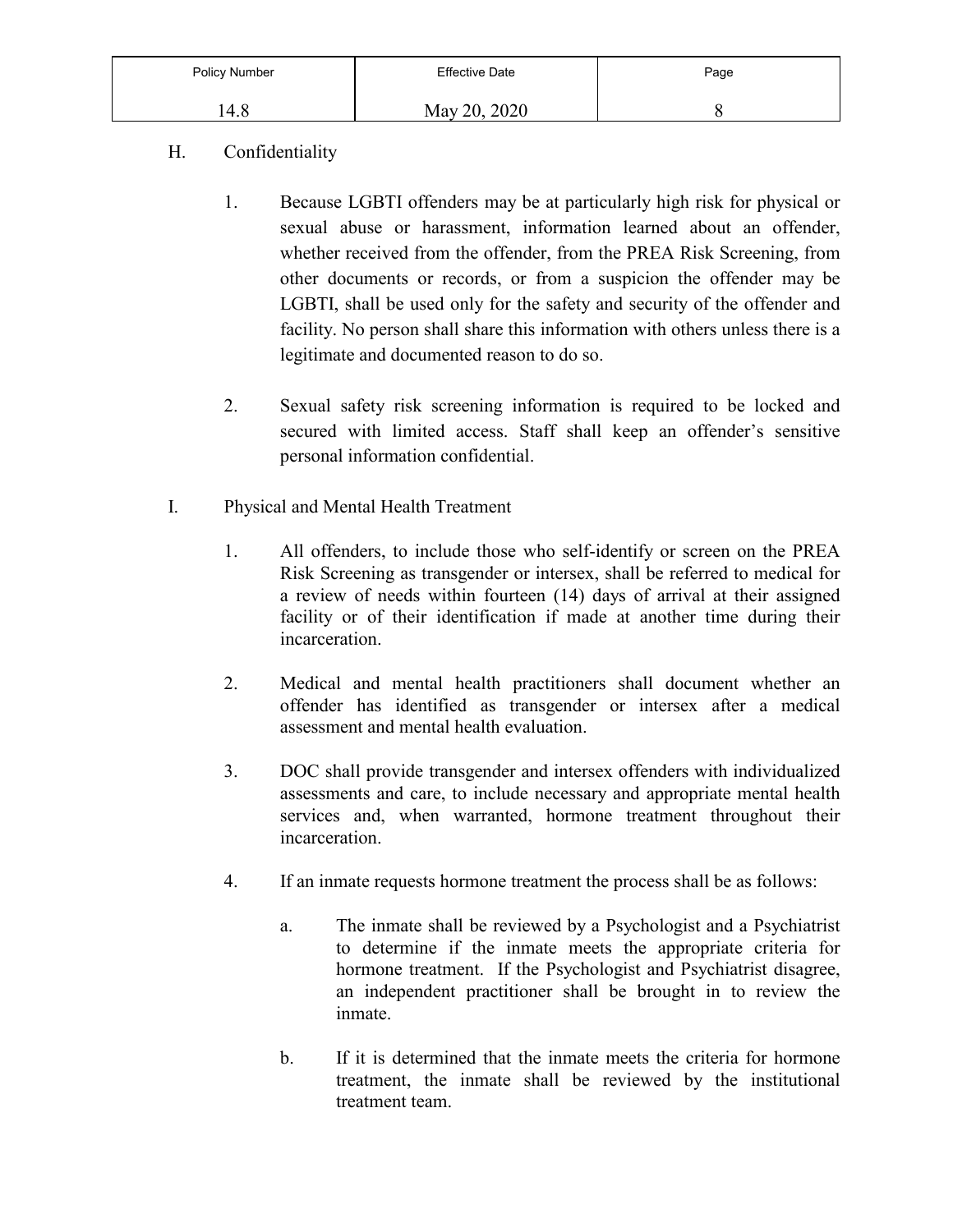| Policy Number | <b>Effective Date</b> | Page |
|---------------|-----------------------|------|
| 14.8          | 20, 2020<br>May 20.   |      |

- H. Confidentiality
	- 1. Because LGBTI offenders may be at particularly high risk for physical or sexual abuse or harassment, information learned about an offender, whether received from the offender, from the PREA Risk Screening, from other documents or records, or from a suspicion the offender may be LGBTI, shall be used only for the safety and security of the offender and facility. No person shall share this information with others unless there is a legitimate and documented reason to do so.
	- 2. Sexual safety risk screening information is required to be locked and secured with limited access. Staff shall keep an offender's sensitive personal information confidential.
- I. Physical and Mental Health Treatment
	- 1. All offenders, to include those who self-identify or screen on the PREA Risk Screening as transgender or intersex, shall be referred to medical for a review of needs within fourteen (14) days of arrival at their assigned facility or of their identification if made at another time during their incarceration.
	- 2. Medical and mental health practitioners shall document whether an offender has identified as transgender or intersex after a medical assessment and mental health evaluation.
	- 3. DOC shall provide transgender and intersex offenders with individualized assessments and care, to include necessary and appropriate mental health services and, when warranted, hormone treatment throughout their incarceration.
	- 4. If an inmate requests hormone treatment the process shall be as follows:
		- a. The inmate shall be reviewed by a Psychologist and a Psychiatrist to determine if the inmate meets the appropriate criteria for hormone treatment. If the Psychologist and Psychiatrist disagree, an independent practitioner shall be brought in to review the inmate.
		- b. If it is determined that the inmate meets the criteria for hormone treatment, the inmate shall be reviewed by the institutional treatment team.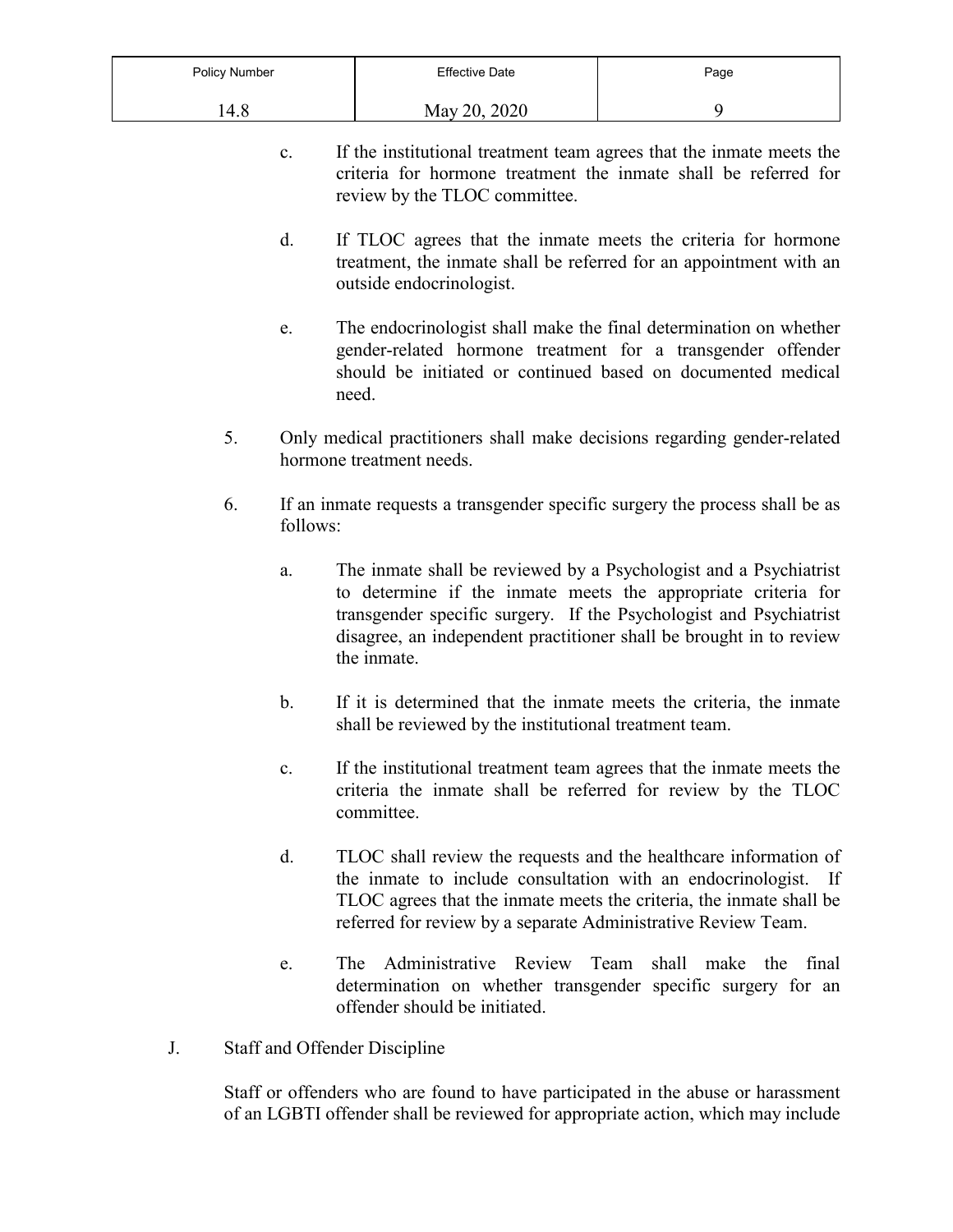| Policy Number | <b>Effective Date</b> | Page |
|---------------|-----------------------|------|
| .4.8          | May 20, 2020          |      |

- c. If the institutional treatment team agrees that the inmate meets the criteria for hormone treatment the inmate shall be referred for review by the TLOC committee.
- d. If TLOC agrees that the inmate meets the criteria for hormone treatment, the inmate shall be referred for an appointment with an outside endocrinologist.
- e. The endocrinologist shall make the final determination on whether gender-related hormone treatment for a transgender offender should be initiated or continued based on documented medical need.
- 5. Only medical practitioners shall make decisions regarding gender-related hormone treatment needs.
- 6. If an inmate requests a transgender specific surgery the process shall be as follows:
	- a. The inmate shall be reviewed by a Psychologist and a Psychiatrist to determine if the inmate meets the appropriate criteria for transgender specific surgery. If the Psychologist and Psychiatrist disagree, an independent practitioner shall be brought in to review the inmate.
	- b. If it is determined that the inmate meets the criteria, the inmate shall be reviewed by the institutional treatment team.
	- c. If the institutional treatment team agrees that the inmate meets the criteria the inmate shall be referred for review by the TLOC committee.
	- d. TLOC shall review the requests and the healthcare information of the inmate to include consultation with an endocrinologist. If TLOC agrees that the inmate meets the criteria, the inmate shall be referred for review by a separate Administrative Review Team.
	- e. The Administrative Review Team shall make the final determination on whether transgender specific surgery for an offender should be initiated.
- J. Staff and Offender Discipline

Staff or offenders who are found to have participated in the abuse or harassment of an LGBTI offender shall be reviewed for appropriate action, which may include